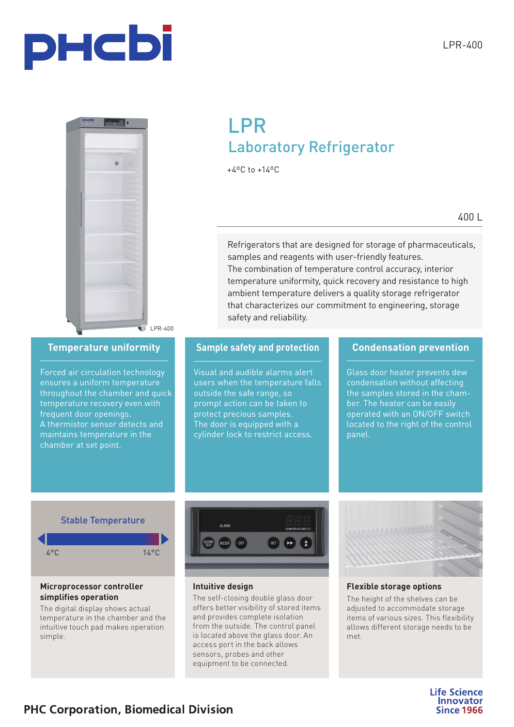



LPR-400

## **LPR** Labor Laboratory Refrigerator

+4ºC to +14ºC

Refrigerators that are designed for storage of pharmaceuticals, samples and reagents with user-friendly features. The combination of temperature control accuracy, interior temperature uniformity, quick recovery and resistance to high ambient temperature delivers a quality storage refrigerator that characterizes our commitment to engineering, storage safety and reliability.

Forced air circulation technology ensures a uniform temperature throughout the chamber and quick temperature recovery even with frequent door openings. A thermistor sensor detects and maintains temperature in the chamber at set point.

### **Temperature uniformity Conduction Sample safety and protection Condensation prevention**

Visual and audible alarms alert users when the temperature falls outside the safe range, so prompt action can be taken to protect precious samples. The door is equipped with a cylinder lock to restrict access.

Glass door heater prevents dew condensation without affecting the samples stored in the chamber. The heater can be easily operated with an ON/OFF switch located to the right of the control panel.

## Stable Temperature



#### **Microprocessor controller simplifies operation**

The digital display shows actual temperature in the chamber and the intuitive touch pad makes operation simple.



**Intuitive design**

The self-closing double glass door offers better visibility of stored items and provides complete isolation from the outside. The control panel is located above the glass door. An access port in the back allows sensors, probes and other equipment to be connected.



#### **Flexible storage options**

The height of the shelves can be adjusted to accommodate storage items of various sizes. This flexibility allows different storage needs to be met.

> **Life Science Innovator Since 1966**

## **PHC Corporation, Biomedical Division**